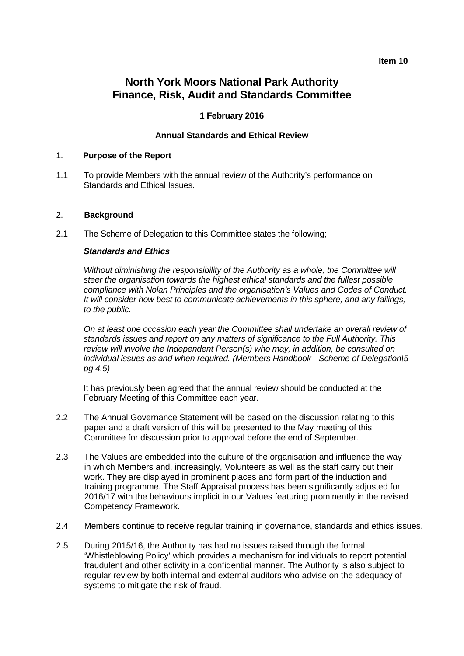#### **Item 10**

# **North York Moors National Park Authority Finance, Risk, Audit and Standards Committee**

#### **1 February 2016**

#### **Annual Standards and Ethical Review**

#### 1. **Purpose of the Report**

1.1 To provide Members with the annual review of the Authority's performance on Standards and Ethical Issues.

#### 2. **Background**

2.1 The Scheme of Delegation to this Committee states the following;

#### *Standards and Ethics*

*Without diminishing the responsibility of the Authority as a whole, the Committee will steer the organisation towards the highest ethical standards and the fullest possible compliance with Nolan Principles and the organisation's Values and Codes of Conduct. It will consider how best to communicate achievements in this sphere, and any failings, to the public.*

*On at least one occasion each year the Committee shall undertake an overall review of standards issues and report on any matters of significance to the Full Authority. This review will involve the Independent Person(s) who may, in addition, be consulted on individual issues as and when required. (Members Handbook - Scheme of Delegation\5 pg 4.5)*

It has previously been agreed that the annual review should be conducted at the February Meeting of this Committee each year.

- 2.2 The Annual Governance Statement will be based on the discussion relating to this paper and a draft version of this will be presented to the May meeting of this Committee for discussion prior to approval before the end of September.
- 2.3 The Values are embedded into the culture of the organisation and influence the way in which Members and, increasingly, Volunteers as well as the staff carry out their work. They are displayed in prominent places and form part of the induction and training programme. The Staff Appraisal process has been significantly adjusted for 2016/17 with the behaviours implicit in our Values featuring prominently in the revised Competency Framework.
- 2.4 Members continue to receive regular training in governance, standards and ethics issues.
- 2.5 During 2015/16, the Authority has had no issues raised through the formal 'Whistleblowing Policy' which provides a mechanism for individuals to report potential fraudulent and other activity in a confidential manner. The Authority is also subject to regular review by both internal and external auditors who advise on the adequacy of systems to mitigate the risk of fraud.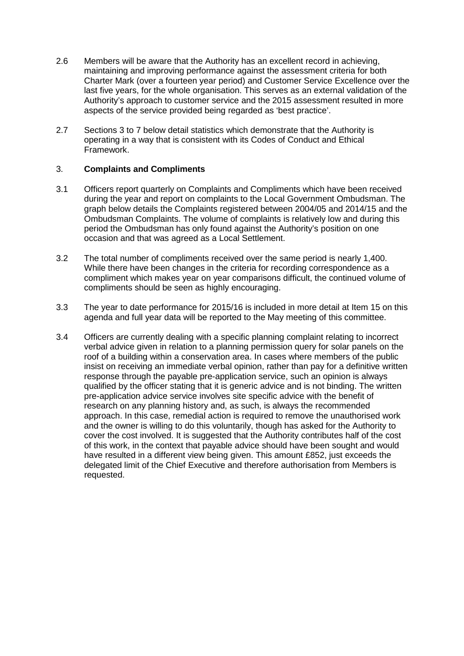- 2.6 Members will be aware that the Authority has an excellent record in achieving, maintaining and improving performance against the assessment criteria for both Charter Mark (over a fourteen year period) and Customer Service Excellence over the last five years, for the whole organisation. This serves as an external validation of the Authority's approach to customer service and the 2015 assessment resulted in more aspects of the service provided being regarded as 'best practice'.
- 2.7 Sections 3 to 7 below detail statistics which demonstrate that the Authority is operating in a way that is consistent with its Codes of Conduct and Ethical Framework.

# 3. **Complaints and Compliments**

- 3.1 Officers report quarterly on Complaints and Compliments which have been received during the year and report on complaints to the Local Government Ombudsman. The graph below details the Complaints registered between 2004/05 and 2014/15 and the Ombudsman Complaints. The volume of complaints is relatively low and during this period the Ombudsman has only found against the Authority's position on one occasion and that was agreed as a Local Settlement.
- 3.2 The total number of compliments received over the same period is nearly 1,400. While there have been changes in the criteria for recording correspondence as a compliment which makes year on year comparisons difficult, the continued volume of compliments should be seen as highly encouraging.
- 3.3 The year to date performance for 2015/16 is included in more detail at Item 15 on this agenda and full year data will be reported to the May meeting of this committee.
- 3.4 Officers are currently dealing with a specific planning complaint relating to incorrect verbal advice given in relation to a planning permission query for solar panels on the roof of a building within a conservation area. In cases where members of the public insist on receiving an immediate verbal opinion, rather than pay for a definitive written response through the payable pre-application service, such an opinion is always qualified by the officer stating that it is generic advice and is not binding. The written pre-application advice service involves site specific advice with the benefit of research on any planning history and, as such, is always the recommended approach. In this case, remedial action is required to remove the unauthorised work and the owner is willing to do this voluntarily, though has asked for the Authority to cover the cost involved. It is suggested that the Authority contributes half of the cost of this work, in the context that payable advice should have been sought and would have resulted in a different view being given. This amount £852, just exceeds the delegated limit of the Chief Executive and therefore authorisation from Members is requested.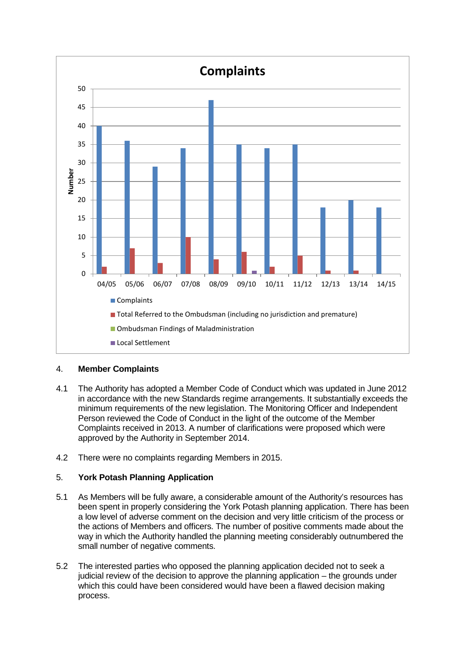

## 4. **Member Complaints**

- 4.1 The Authority has adopted a Member Code of Conduct which was updated in June 2012 in accordance with the new Standards regime arrangements. It substantially exceeds the minimum requirements of the new legislation. The Monitoring Officer and Independent Person reviewed the Code of Conduct in the light of the outcome of the Member Complaints received in 2013. A number of clarifications were proposed which were approved by the Authority in September 2014.
- 4.2 There were no complaints regarding Members in 2015.

# 5. **York Potash Planning Application**

- 5.1 As Members will be fully aware, a considerable amount of the Authority's resources has been spent in properly considering the York Potash planning application. There has been a low level of adverse comment on the decision and very little criticism of the process or the actions of Members and officers. The number of positive comments made about the way in which the Authority handled the planning meeting considerably outnumbered the small number of negative comments.
- 5.2 The interested parties who opposed the planning application decided not to seek a judicial review of the decision to approve the planning application – the grounds under which this could have been considered would have been a flawed decision making process.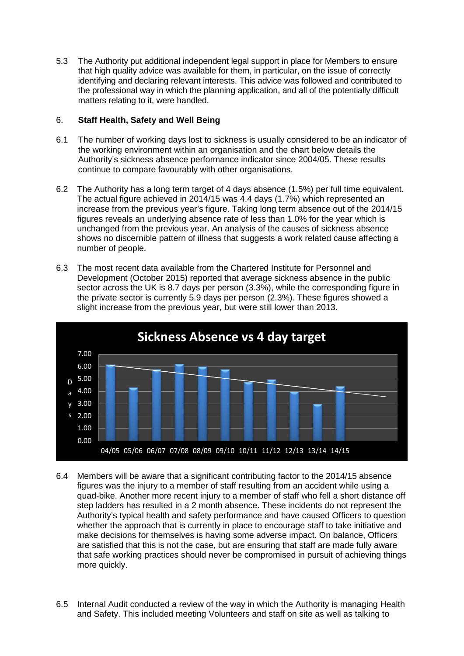5.3 The Authority put additional independent legal support in place for Members to ensure that high quality advice was available for them, in particular, on the issue of correctly identifying and declaring relevant interests. This advice was followed and contributed to the professional way in which the planning application, and all of the potentially difficult matters relating to it, were handled.

## 6. **Staff Health, Safety and Well Being**

- 6.1 The number of working days lost to sickness is usually considered to be an indicator of the working environment within an organisation and the chart below details the Authority's sickness absence performance indicator since 2004/05. These results continue to compare favourably with other organisations.
- 6.2 The Authority has a long term target of 4 days absence (1.5%) per full time equivalent. The actual figure achieved in 2014/15 was 4.4 days (1.7%) which represented an increase from the previous year's figure. Taking long term absence out of the 2014/15 figures reveals an underlying absence rate of less than 1.0% for the year which is unchanged from the previous year. An analysis of the causes of sickness absence shows no discernible pattern of illness that suggests a work related cause affecting a number of people.
- 6.3 The most recent data available from the Chartered Institute for Personnel and Development (October 2015) reported that average sickness absence in the public sector across the UK is 8.7 days per person (3.3%), while the corresponding figure in the private sector is currently 5.9 days per person (2.3%). These figures showed a slight increase from the previous year, but were still lower than 2013.



- 6.4 Members will be aware that a significant contributing factor to the 2014/15 absence figures was the injury to a member of staff resulting from an accident while using a quad-bike. Another more recent injury to a member of staff who fell a short distance off step ladders has resulted in a 2 month absence. These incidents do not represent the Authority's typical health and safety performance and have caused Officers to question whether the approach that is currently in place to encourage staff to take initiative and make decisions for themselves is having some adverse impact. On balance, Officers are satisfied that this is not the case, but are ensuring that staff are made fully aware that safe working practices should never be compromised in pursuit of achieving things more quickly.
- 6.5 Internal Audit conducted a review of the way in which the Authority is managing Health and Safety. This included meeting Volunteers and staff on site as well as talking to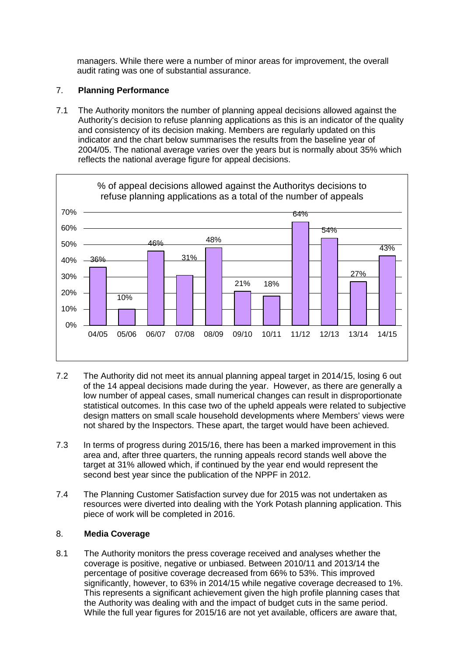managers. While there were a number of minor areas for improvement, the overall audit rating was one of substantial assurance.

# 7. **Planning Performance**

7.1 The Authority monitors the number of planning appeal decisions allowed against the Authority's decision to refuse planning applications as this is an indicator of the quality and consistency of its decision making. Members are regularly updated on this indicator and the chart below summarises the results from the baseline year of 2004/05. The national average varies over the years but is normally about 35% which reflects the national average figure for appeal decisions.



- 7.2 The Authority did not meet its annual planning appeal target in 2014/15, losing 6 out of the 14 appeal decisions made during the year. However, as there are generally a low number of appeal cases, small numerical changes can result in disproportionate statistical outcomes. In this case two of the upheld appeals were related to subjective design matters on small scale household developments where Members' views were not shared by the Inspectors. These apart, the target would have been achieved.
- 7.3 In terms of progress during 2015/16, there has been a marked improvement in this area and, after three quarters, the running appeals record stands well above the target at 31% allowed which, if continued by the year end would represent the second best year since the publication of the NPPF in 2012.
- 7.4 The Planning Customer Satisfaction survey due for 2015 was not undertaken as resources were diverted into dealing with the York Potash planning application. This piece of work will be completed in 2016.

## 8. **Media Coverage**

8.1 The Authority monitors the press coverage received and analyses whether the coverage is positive, negative or unbiased. Between 2010/11 and 2013/14 the percentage of positive coverage decreased from 66% to 53%. This improved significantly, however, to 63% in 2014/15 while negative coverage decreased to 1%. This represents a significant achievement given the high profile planning cases that the Authority was dealing with and the impact of budget cuts in the same period. While the full year figures for 2015/16 are not yet available, officers are aware that,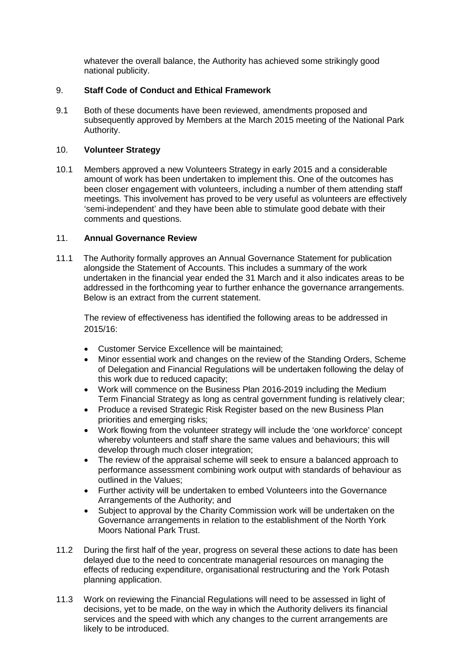whatever the overall balance, the Authority has achieved some strikingly good national publicity.

## 9. **Staff Code of Conduct and Ethical Framework**

9.1 Both of these documents have been reviewed, amendments proposed and subsequently approved by Members at the March 2015 meeting of the National Park Authority.

# 10. **Volunteer Strategy**

10.1 Members approved a new Volunteers Strategy in early 2015 and a considerable amount of work has been undertaken to implement this. One of the outcomes has been closer engagement with volunteers, including a number of them attending staff meetings. This involvement has proved to be very useful as volunteers are effectively 'semi-independent' and they have been able to stimulate good debate with their comments and questions.

# 11. **Annual Governance Review**

11.1 The Authority formally approves an Annual Governance Statement for publication alongside the Statement of Accounts. This includes a summary of the work undertaken in the financial year ended the 31 March and it also indicates areas to be addressed in the forthcoming year to further enhance the governance arrangements. Below is an extract from the current statement.

The review of effectiveness has identified the following areas to be addressed in 2015/16:

- Customer Service Excellence will be maintained;
- Minor essential work and changes on the review of the Standing Orders, Scheme of Delegation and Financial Regulations will be undertaken following the delay of this work due to reduced capacity;
- Work will commence on the Business Plan 2016-2019 including the Medium Term Financial Strategy as long as central government funding is relatively clear;
- Produce a revised Strategic Risk Register based on the new Business Plan priorities and emerging risks;
- Work flowing from the volunteer strategy will include the 'one workforce' concept whereby volunteers and staff share the same values and behaviours; this will develop through much closer integration;
- The review of the appraisal scheme will seek to ensure a balanced approach to performance assessment combining work output with standards of behaviour as outlined in the Values;
- Further activity will be undertaken to embed Volunteers into the Governance Arrangements of the Authority; and
- Subject to approval by the Charity Commission work will be undertaken on the Governance arrangements in relation to the establishment of the North York Moors National Park Trust.
- 11.2 During the first half of the year, progress on several these actions to date has been delayed due to the need to concentrate managerial resources on managing the effects of reducing expenditure, organisational restructuring and the York Potash planning application.
- 11.3 Work on reviewing the Financial Regulations will need to be assessed in light of decisions, yet to be made, on the way in which the Authority delivers its financial services and the speed with which any changes to the current arrangements are likely to be introduced.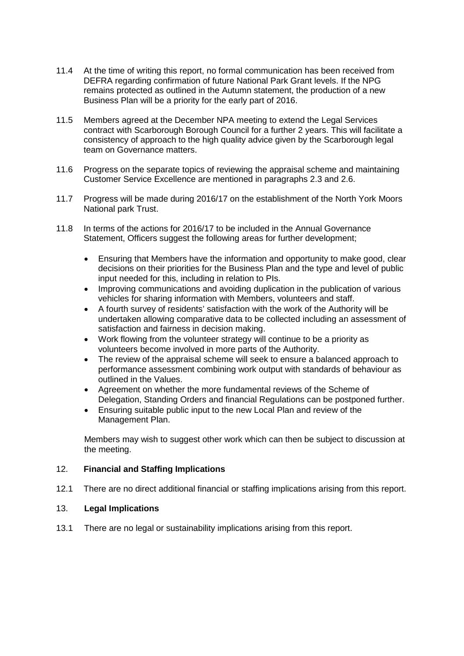- 11.4 At the time of writing this report, no formal communication has been received from DEFRA regarding confirmation of future National Park Grant levels. If the NPG remains protected as outlined in the Autumn statement, the production of a new Business Plan will be a priority for the early part of 2016.
- 11.5 Members agreed at the December NPA meeting to extend the Legal Services contract with Scarborough Borough Council for a further 2 years. This will facilitate a consistency of approach to the high quality advice given by the Scarborough legal team on Governance matters.
- 11.6 Progress on the separate topics of reviewing the appraisal scheme and maintaining Customer Service Excellence are mentioned in paragraphs 2.3 and 2.6.
- 11.7 Progress will be made during 2016/17 on the establishment of the North York Moors National park Trust.
- 11.8 In terms of the actions for 2016/17 to be included in the Annual Governance Statement, Officers suggest the following areas for further development;
	- Ensuring that Members have the information and opportunity to make good, clear decisions on their priorities for the Business Plan and the type and level of public input needed for this, including in relation to PIs.
	- Improving communications and avoiding duplication in the publication of various vehicles for sharing information with Members, volunteers and staff.
	- A fourth survey of residents' satisfaction with the work of the Authority will be undertaken allowing comparative data to be collected including an assessment of satisfaction and fairness in decision making.
	- Work flowing from the volunteer strategy will continue to be a priority as volunteers become involved in more parts of the Authority.
	- The review of the appraisal scheme will seek to ensure a balanced approach to performance assessment combining work output with standards of behaviour as outlined in the Values.
	- Agreement on whether the more fundamental reviews of the Scheme of Delegation, Standing Orders and financial Regulations can be postponed further.
	- Ensuring suitable public input to the new Local Plan and review of the Management Plan.

Members may wish to suggest other work which can then be subject to discussion at the meeting.

## 12. **Financial and Staffing Implications**

12.1 There are no direct additional financial or staffing implications arising from this report.

## 13. **Legal Implications**

13.1 There are no legal or sustainability implications arising from this report.